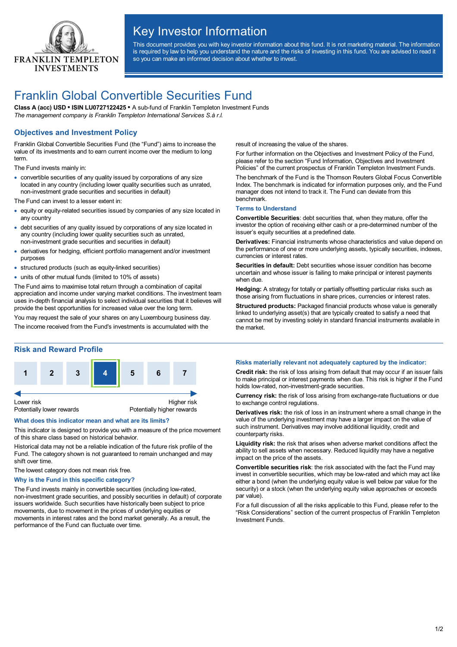

# Key Investor Information

This document provides you with key investor information about this fund. It is not marketing material. The information is required by law to help you understand the nature and the risks of investing in this fund. You are advised to read it so you can make an informed decision about whether to invest.

## Franklin Global Convertible Securities Fund

**Class A (acc) USD • ISIN LU0727122425 •** A sub-fund of Franklin Templeton Investment Funds *The management company is Franklin Templeton International Services S.à r.l.*

## **Objectives and Investment Policy**

Franklin Global Convertible Securities Fund (the "Fund") aims to increase the value of its investments and to earn current income over the medium to long term

The Fund invests mainly in:

· convertible securities of any quality issued by corporations of any size located in any country (including lower quality securities such as unrated, non-investment grade securities and securities in default)

The Fund can invest to a lesser extent in:

- · equity or equity-related securities issued by companies of any size located in any country
- · debt securities of any quality issued by corporations of any size located in any country (including lower quality securities such as unrated, non-investment grade securities and securities in default)
- · derivatives for hedging, efficient portfolio management and/or investment purposes
- · structured products (such as equity-linked securities)
- · units of other mutual funds (limited to 10% of assets)

The Fund aims to maximise total return through a combination of capital appreciation and income under varying market conditions. The investment team uses in-depth financial analysis to select individual securities that it believes will provide the best opportunities for increased value over the long term.

You may request the sale of your shares on any Luxembourg business day.

The income received from the Fund's investments is accumulated with the

result of increasing the value of the shares.

For further information on the Objectives and Investment Policy of the Fund, please refer to the section "Fund Information, Objectives and Investment Policies" of the current prospectus of Franklin Templeton Investment Funds.

The benchmark of the Fund is the Thomson Reuters Global Focus Convertible Index. The benchmark is indicated for information purposes only, and the Fund manager does not intend to track it. The Fund can deviate from this benchmark.

#### **Terms to Understand**

**Convertible Securities**: debt securities that, when they mature, offer the investor the option of receiving either cash or a pre-determined number of the issuer's equity securities at a predefined date.

**Derivatives:** Financial instruments whose characteristics and value depend on the performance of one or more underlying assets, typically securities, indexes, currencies or interest rates.

**Securities in default:** Debt securities whose issuer condition has become uncertain and whose issuer is failing to make principal or interest payments when due

**Hedging:** A strategy for totally or partially offsetting particular risks such as those arising from fluctuations in share prices, currencies or interest rates.

**Structured products:** Packaged financial products whose value is generally linked to underlying asset(s) that are typically created to satisfy a need that cannot be met by investing solely in standard financial instruments available in the market.

### **Risk and Reward Profile**



#### **What does this indicator mean and what are its limits?**

This indicator is designed to provide you with a measure of the price movement of this share class based on historical behavior.

Historical data may not be a reliable indication of the future risk profile of the Fund. The category shown is not guaranteed to remain unchanged and may shift over time.

The lowest category does not mean risk free.

#### **Why is the Fund in this specific category?**

The Fund invests mainly in convertible securities (including low-rated, non-investment grade securities, and possibly securities in default) of corporate issuers worldwide. Such securities have historically been subject to price movements, due to movement in the prices of underlying equities or movements in interest rates and the bond market generally. As a result, the performance of the Fund can fluctuate over time.

#### **Risks materially relevant not adequately captured by the indicator:**

**Credit risk:** the risk of loss arising from default that may occur if an issuer fails to make principal or interest payments when due. This risk is higher if the Fund holds low-rated, non-investment-grade securities.

**Currency risk:** the risk of loss arising from exchange-rate fluctuations or due to exchange control regulations.

**Derivatives risk:** the risk of loss in an instrument where a small change in the value of the underlying investment may have a larger impact on the value of such instrument. Derivatives may involve additional liquidity, credit and counterparty risks.

**Liquidity risk:** the risk that arises when adverse market conditions affect the ability to sell assets when necessary. Reduced liquidity may have a negative impact on the price of the assets.

**Convertible securities risk**: the risk associated with the fact the Fund may invest in convertible securities, which may be low-rated and which may act like either a bond (when the underlying equity value is well below par value for the security) or a stock (when the underlying equity value approaches or exceeds par value).

For a full discussion of all the risks applicable to this Fund, please refer to the "Risk Considerations" section of the current prospectus of Franklin Templeton Investment Funds.